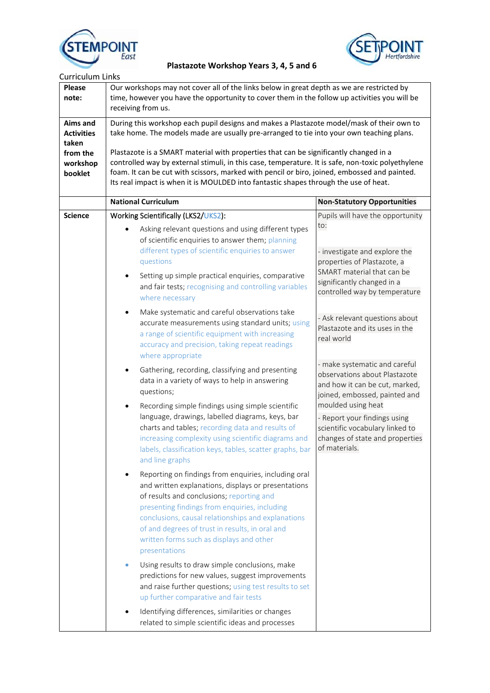



| <b>Curriculum Links</b>                                                   |                                                                                                                                                                                                                                                                                                                                                                                                                                                                                                                                                                             |                                                                                                                                                                                                                                                                                                                                                                                                                                                                                                                                                                          |  |  |
|---------------------------------------------------------------------------|-----------------------------------------------------------------------------------------------------------------------------------------------------------------------------------------------------------------------------------------------------------------------------------------------------------------------------------------------------------------------------------------------------------------------------------------------------------------------------------------------------------------------------------------------------------------------------|--------------------------------------------------------------------------------------------------------------------------------------------------------------------------------------------------------------------------------------------------------------------------------------------------------------------------------------------------------------------------------------------------------------------------------------------------------------------------------------------------------------------------------------------------------------------------|--|--|
| <b>Please</b><br>note:                                                    | Our workshops may not cover all of the links below in great depth as we are restricted by<br>time, however you have the opportunity to cover them in the follow up activities you will be<br>receiving from us.                                                                                                                                                                                                                                                                                                                                                             |                                                                                                                                                                                                                                                                                                                                                                                                                                                                                                                                                                          |  |  |
| Aims and<br><b>Activities</b><br>taken<br>from the<br>workshop<br>booklet | During this workshop each pupil designs and makes a Plastazote model/mask of their own to<br>take home. The models made are usually pre-arranged to tie into your own teaching plans.<br>Plastazote is a SMART material with properties that can be significantly changed in a<br>controlled way by external stimuli, in this case, temperature. It is safe, non-toxic polyethylene<br>foam. It can be cut with scissors, marked with pencil or biro, joined, embossed and painted.<br>Its real impact is when it is MOULDED into fantastic shapes through the use of heat. |                                                                                                                                                                                                                                                                                                                                                                                                                                                                                                                                                                          |  |  |
|                                                                           | <b>National Curriculum</b>                                                                                                                                                                                                                                                                                                                                                                                                                                                                                                                                                  | <b>Non-Statutory Opportunities</b>                                                                                                                                                                                                                                                                                                                                                                                                                                                                                                                                       |  |  |
| <b>Science</b>                                                            | Working Scientifically (LKS2/UKS2):<br>Asking relevant questions and using different types<br>of scientific enquiries to answer them; planning<br>different types of scientific enquiries to answer<br>questions                                                                                                                                                                                                                                                                                                                                                            | Pupils will have the opportunity<br>to:<br>- investigate and explore the<br>properties of Plastazote, a<br>SMART material that can be<br>significantly changed in a<br>controlled way by temperature<br>- Ask relevant questions about<br>Plastazote and its uses in the<br>real world<br>- make systematic and careful<br>observations about Plastazote<br>and how it can be cut, marked,<br>joined, embossed, painted and<br>moulded using heat<br>- Report your findings using<br>scientific vocabulary linked to<br>changes of state and properties<br>of materials. |  |  |
|                                                                           | Setting up simple practical enquiries, comparative<br>$\bullet$<br>and fair tests; recognising and controlling variables<br>where necessary                                                                                                                                                                                                                                                                                                                                                                                                                                 |                                                                                                                                                                                                                                                                                                                                                                                                                                                                                                                                                                          |  |  |
|                                                                           | Make systematic and careful observations take<br>$\bullet$<br>accurate measurements using standard units; using<br>a range of scientific equipment with increasing<br>accuracy and precision, taking repeat readings<br>where appropriate                                                                                                                                                                                                                                                                                                                                   |                                                                                                                                                                                                                                                                                                                                                                                                                                                                                                                                                                          |  |  |
|                                                                           | Gathering, recording, classifying and presenting<br>٠<br>data in a variety of ways to help in answering<br>questions;                                                                                                                                                                                                                                                                                                                                                                                                                                                       |                                                                                                                                                                                                                                                                                                                                                                                                                                                                                                                                                                          |  |  |
|                                                                           | Recording simple findings using simple scientific<br>$\bullet$<br>language, drawings, labelled diagrams, keys, bar<br>charts and tables; recording data and results of<br>increasing complexity using scientific diagrams and<br>labels, classification keys, tables, scatter graphs, bar<br>and line graphs                                                                                                                                                                                                                                                                |                                                                                                                                                                                                                                                                                                                                                                                                                                                                                                                                                                          |  |  |
|                                                                           | Reporting on findings from enquiries, including oral<br>and written explanations, displays or presentations<br>of results and conclusions; reporting and<br>presenting findings from enquiries, including<br>conclusions, causal relationships and explanations<br>of and degrees of trust in results, in oral and<br>written forms such as displays and other<br>presentations                                                                                                                                                                                             |                                                                                                                                                                                                                                                                                                                                                                                                                                                                                                                                                                          |  |  |
|                                                                           | Using results to draw simple conclusions, make<br>$\bullet$<br>predictions for new values, suggest improvements<br>and raise further questions; using test results to set<br>up further comparative and fair tests                                                                                                                                                                                                                                                                                                                                                          |                                                                                                                                                                                                                                                                                                                                                                                                                                                                                                                                                                          |  |  |
|                                                                           | Identifying differences, similarities or changes<br>related to simple scientific ideas and processes                                                                                                                                                                                                                                                                                                                                                                                                                                                                        |                                                                                                                                                                                                                                                                                                                                                                                                                                                                                                                                                                          |  |  |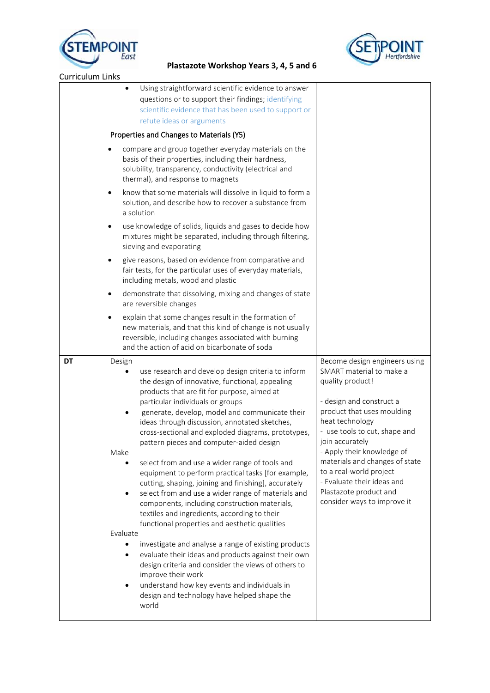



| <b>Curriculum Links</b> |                                                                                                                                                                                                                                                                                                                                                                                                                                                                                                                                                                                                                                                                                                                                                                                                                                                                                                                                                                                                                                                                                                         |                                                                                                                                                                                                                                                                                                                                                                                                  |
|-------------------------|---------------------------------------------------------------------------------------------------------------------------------------------------------------------------------------------------------------------------------------------------------------------------------------------------------------------------------------------------------------------------------------------------------------------------------------------------------------------------------------------------------------------------------------------------------------------------------------------------------------------------------------------------------------------------------------------------------------------------------------------------------------------------------------------------------------------------------------------------------------------------------------------------------------------------------------------------------------------------------------------------------------------------------------------------------------------------------------------------------|--------------------------------------------------------------------------------------------------------------------------------------------------------------------------------------------------------------------------------------------------------------------------------------------------------------------------------------------------------------------------------------------------|
|                         | Using straightforward scientific evidence to answer<br>questions or to support their findings; identifying<br>scientific evidence that has been used to support or<br>refute ideas or arguments                                                                                                                                                                                                                                                                                                                                                                                                                                                                                                                                                                                                                                                                                                                                                                                                                                                                                                         |                                                                                                                                                                                                                                                                                                                                                                                                  |
|                         | Properties and Changes to Materials (Y5)                                                                                                                                                                                                                                                                                                                                                                                                                                                                                                                                                                                                                                                                                                                                                                                                                                                                                                                                                                                                                                                                |                                                                                                                                                                                                                                                                                                                                                                                                  |
|                         | compare and group together everyday materials on the<br>basis of their properties, including their hardness,<br>solubility, transparency, conductivity (electrical and<br>thermal), and response to magnets                                                                                                                                                                                                                                                                                                                                                                                                                                                                                                                                                                                                                                                                                                                                                                                                                                                                                             |                                                                                                                                                                                                                                                                                                                                                                                                  |
|                         | know that some materials will dissolve in liquid to form a<br>٠<br>solution, and describe how to recover a substance from<br>a solution                                                                                                                                                                                                                                                                                                                                                                                                                                                                                                                                                                                                                                                                                                                                                                                                                                                                                                                                                                 |                                                                                                                                                                                                                                                                                                                                                                                                  |
|                         | use knowledge of solids, liquids and gases to decide how<br>$\bullet$<br>mixtures might be separated, including through filtering,<br>sieving and evaporating                                                                                                                                                                                                                                                                                                                                                                                                                                                                                                                                                                                                                                                                                                                                                                                                                                                                                                                                           |                                                                                                                                                                                                                                                                                                                                                                                                  |
|                         | give reasons, based on evidence from comparative and<br>$\bullet$<br>fair tests, for the particular uses of everyday materials,<br>including metals, wood and plastic                                                                                                                                                                                                                                                                                                                                                                                                                                                                                                                                                                                                                                                                                                                                                                                                                                                                                                                                   |                                                                                                                                                                                                                                                                                                                                                                                                  |
|                         | demonstrate that dissolving, mixing and changes of state<br>$\bullet$<br>are reversible changes                                                                                                                                                                                                                                                                                                                                                                                                                                                                                                                                                                                                                                                                                                                                                                                                                                                                                                                                                                                                         |                                                                                                                                                                                                                                                                                                                                                                                                  |
|                         | explain that some changes result in the formation of<br>٠<br>new materials, and that this kind of change is not usually<br>reversible, including changes associated with burning<br>and the action of acid on bicarbonate of soda                                                                                                                                                                                                                                                                                                                                                                                                                                                                                                                                                                                                                                                                                                                                                                                                                                                                       |                                                                                                                                                                                                                                                                                                                                                                                                  |
| DT                      | Design<br>use research and develop design criteria to inform<br>the design of innovative, functional, appealing<br>products that are fit for purpose, aimed at<br>particular individuals or groups<br>generate, develop, model and communicate their<br>ideas through discussion, annotated sketches,<br>cross-sectional and exploded diagrams, prototypes,<br>pattern pieces and computer-aided design<br>Make<br>select from and use a wider range of tools and<br>equipment to perform practical tasks [for example,<br>cutting, shaping, joining and finishing], accurately<br>select from and use a wider range of materials and<br>components, including construction materials,<br>textiles and ingredients, according to their<br>functional properties and aesthetic qualities<br>Evaluate<br>investigate and analyse a range of existing products<br>evaluate their ideas and products against their own<br>design criteria and consider the views of others to<br>improve their work<br>understand how key events and individuals in<br>design and technology have helped shape the<br>world | Become design engineers using<br>SMART material to make a<br>quality product!<br>- design and construct a<br>product that uses moulding<br>heat technology<br>- use tools to cut, shape and<br>join accurately<br>- Apply their knowledge of<br>materials and changes of state<br>to a real-world project<br>- Evaluate their ideas and<br>Plastazote product and<br>consider ways to improve it |